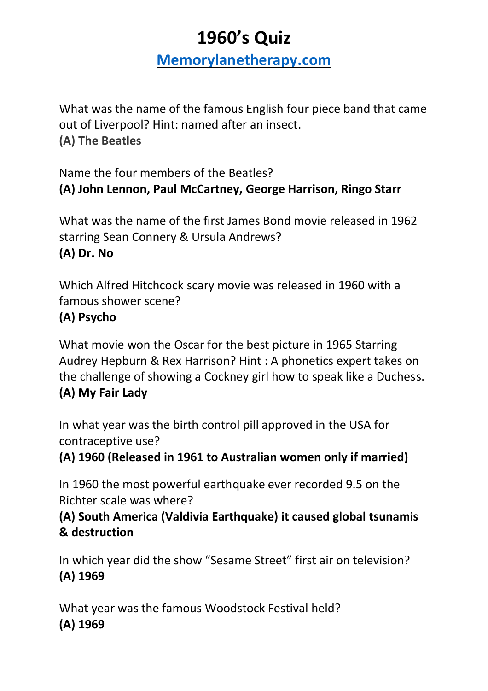# **1960's Quiz**

**[Memorylanetherapy.com](https://memorylanetherapy.com/)**

What was the name of the famous English four piece band that came out of Liverpool? Hint: named after an insect. **(A) The Beatles**

Name the four members of the Beatles? **(A) John Lennon, Paul McCartney, George Harrison, Ringo Starr**

What was the name of the first James Bond movie released in 1962 starring Sean Connery & Ursula Andrews? **(A) Dr. No**

Which Alfred Hitchcock scary movie was released in 1960 with a famous shower scene?

#### **(A) Psycho**

What movie won the Oscar for the best picture in 1965 Starring Audrey Hepburn & Rex Harrison? Hint : A phonetics expert takes on the challenge of showing a Cockney girl how to speak like a Duchess. **(A) My Fair Lady**

In what year was the birth control pill approved in the USA for contraceptive use?

**(A) 1960 (Released in 1961 to Australian women only if married)**

In 1960 the most powerful earthquake ever recorded 9.5 on the Richter scale was where?

**(A) South America (Valdivia Earthquake) it caused global tsunamis & destruction**

In which year did the show "Sesame Street" first air on television? **(A) 1969**

What year was the famous Woodstock Festival held? **(A) 1969**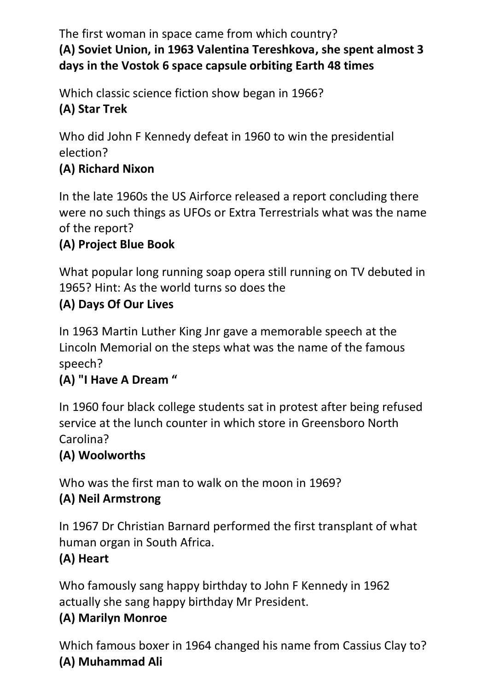The first woman in space came from which country? **(A) Soviet Union, in 1963 Valentina Tereshkova, she spent almost 3 days in the Vostok 6 space capsule orbiting Earth 48 times**

Which classic science fiction show began in 1966? **(A) Star Trek**

Who did John F Kennedy defeat in 1960 to win the presidential election?

# **(A) Richard Nixon**

In the late 1960s the US Airforce released a report concluding there were no such things as UFOs or Extra Terrestrials what was the name of the report?

# **(A) Project Blue Book**

What popular long running soap opera still running on TV debuted in 1965? Hint: As the world turns so does the

#### **(A) Days Of Our Lives**

In 1963 Martin Luther King Jnr gave a memorable speech at the Lincoln Memorial on the steps what was the name of the famous speech?

#### **(A) "I Have A Dream "**

In 1960 four black college students sat in protest after being refused service at the lunch counter in which store in Greensboro North Carolina?

# **(A) Woolworths**

Who was the first man to walk on the moon in 1969?

# **(A) Neil Armstrong**

In 1967 Dr Christian Barnard performed the first transplant of what human organ in South Africa.

# **(A) Heart**

Who famously sang happy birthday to John F Kennedy in 1962 actually she sang happy birthday Mr President.

# **(A) Marilyn Monroe**

Which famous boxer in 1964 changed his name from Cassius Clay to? **(A) Muhammad Ali**